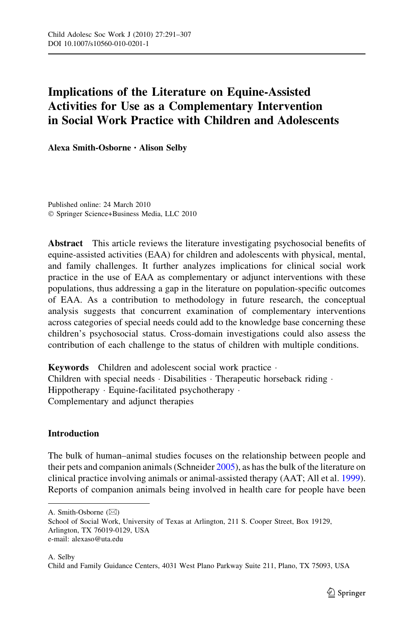# <span id="page-0-0"></span>Implications of the Literature on Equine-Assisted Activities for Use as a Complementary Intervention in Social Work Practice with Children and Adolescents

Alexa Smith-Osborne • Alison Selby

Published online: 24 March 2010 - Springer Science+Business Media, LLC 2010

Abstract This article reviews the literature investigating psychosocial benefits of equine-assisted activities (EAA) for children and adolescents with physical, mental, and family challenges. It further analyzes implications for clinical social work practice in the use of EAA as complementary or adjunct interventions with these populations, thus addressing a gap in the literature on population-specific outcomes of EAA. As a contribution to methodology in future research, the conceptual analysis suggests that concurrent examination of complementary interventions across categories of special needs could add to the knowledge base concerning these children's psychosocial status. Cross-domain investigations could also assess the contribution of each challenge to the status of children with multiple conditions.

Keywords Children and adolescent social work practice -Children with special needs · Disabilities · Therapeutic horseback riding · Hippotherapy - Equine-facilitated psychotherapy - Complementary and adjunct therapies

# Introduction

The bulk of human–animal studies focuses on the relationship between people and their pets and companion animals (Schneider [2005\)](#page-15-0), as has the bulk of the literature on clinical practice involving animals or animal-assisted therapy (AAT; All et al. [1999\)](#page-13-0). Reports of companion animals being involved in health care for people have been

A. Smith-Osborne  $(\boxtimes)$ 

A. Selby Child and Family Guidance Centers, 4031 West Plano Parkway Suite 211, Plano, TX 75093, USA

School of Social Work, University of Texas at Arlington, 211 S. Cooper Street, Box 19129, Arlington, TX 76019-0129, USA e-mail: alexaso@uta.edu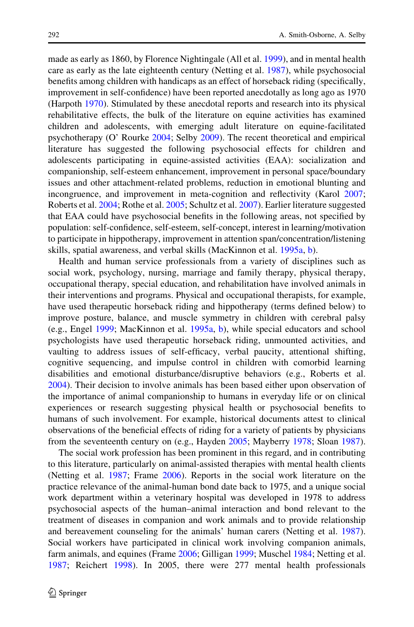made as early as 1860, by Florence Nightingale (All et al. [1999](#page-13-0)), and in mental health care as early as the late eighteenth century (Netting et al. [1987](#page-15-0)), while psychosocial benefits among children with handicaps as an effect of horseback riding (specifically, improvement in self-confidence) have been reported anecdotally as long ago as 1970 (Harpoth [1970\)](#page-14-0). Stimulated by these anecdotal reports and research into its physical rehabilitative effects, the bulk of the literature on equine activities has examined children and adolescents, with emerging adult literature on equine-facilitated psychotherapy (O' Rourke [2004](#page-15-0); Selby [2009\)](#page-15-0). The recent theoretical and empirical literature has suggested the following psychosocial effects for children and adolescents participating in equine-assisted activities (EAA): socialization and companionship, self-esteem enhancement, improvement in personal space/boundary issues and other attachment-related problems, reduction in emotional blunting and incongruence, and improvement in meta-cognition and reflectivity (Karol [2007;](#page-14-0) Roberts et al. [2004;](#page-15-0) Rothe et al. [2005](#page-15-0); Schultz et al. [2007\)](#page-15-0). Earlier literature suggested that EAA could have psychosocial benefits in the following areas, not specified by population: self-confidence, self-esteem, self-concept, interest in learning/motivation to participate in hippotherapy, improvement in attention span/concentration/listening skills, spatial awareness, and verbal skills (MacKinnon et al. [1995a,](#page-15-0) [b\)](#page-15-0).

Health and human service professionals from a variety of disciplines such as social work, psychology, nursing, marriage and family therapy, physical therapy, occupational therapy, special education, and rehabilitation have involved animals in their interventions and programs. Physical and occupational therapists, for example, have used therapeutic horseback riding and hippotherapy (terms defined below) to improve posture, balance, and muscle symmetry in children with cerebral palsy (e.g., Engel [1999](#page-14-0); MacKinnon et al. [1995a](#page-15-0), [b](#page-15-0)), while special educators and school psychologists have used therapeutic horseback riding, unmounted activities, and vaulting to address issues of self-efficacy, verbal paucity, attentional shifting, cognitive sequencing, and impulse control in children with comorbid learning disabilities and emotional disturbance/disruptive behaviors (e.g., Roberts et al. [2004\)](#page-15-0). Their decision to involve animals has been based either upon observation of the importance of animal companionship to humans in everyday life or on clinical experiences or research suggesting physical health or psychosocial benefits to humans of such involvement. For example, historical documents attest to clinical observations of the beneficial effects of riding for a variety of patients by physicians from the seventeenth century on (e.g., Hayden [2005;](#page-14-0) Mayberry [1978;](#page-15-0) Sloan [1987\)](#page-15-0).

The social work profession has been prominent in this regard, and in contributing to this literature, particularly on animal-assisted therapies with mental health clients (Netting et al. [1987](#page-15-0); Frame [2006\)](#page-14-0). Reports in the social work literature on the practice relevance of the animal-human bond date back to 1975, and a unique social work department within a veterinary hospital was developed in 1978 to address psychosocial aspects of the human–animal interaction and bond relevant to the treatment of diseases in companion and work animals and to provide relationship and bereavement counseling for the animals' human carers (Netting et al. [1987\)](#page-15-0). Social workers have participated in clinical work involving companion animals, farm animals, and equines (Frame [2006](#page-14-0); Gilligan [1999;](#page-14-0) Muschel [1984](#page-15-0); Netting et al. [1987;](#page-15-0) Reichert [1998\)](#page-15-0). In 2005, there were 277 mental health professionals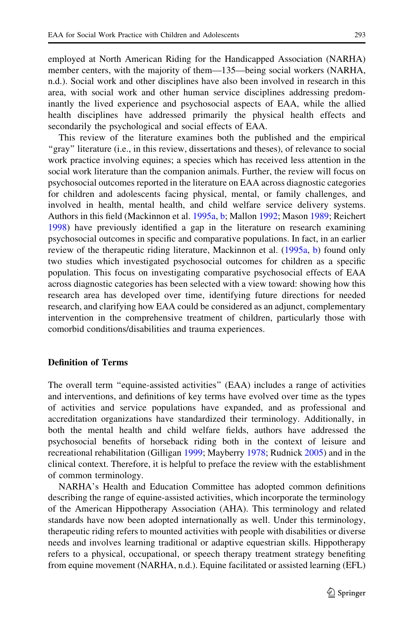employed at North American Riding for the Handicapped Association (NARHA) member centers, with the majority of them—135—being social workers (NARHA, n.d.). Social work and other disciplines have also been involved in research in this area, with social work and other human service disciplines addressing predominantly the lived experience and psychosocial aspects of EAA, while the allied health disciplines have addressed primarily the physical health effects and secondarily the psychological and social effects of EAA.

This review of the literature examines both the published and the empirical "gray" literature (i.e., in this review, dissertations and theses), of relevance to social work practice involving equines; a species which has received less attention in the social work literature than the companion animals. Further, the review will focus on psychosocial outcomes reported in the literature on EAA across diagnostic categories for children and adolescents facing physical, mental, or family challenges, and involved in health, mental health, and child welfare service delivery systems. Authors in this field (Mackinnon et al. [1995a](#page-15-0), [b;](#page-15-0) Mallon [1992;](#page-15-0) Mason [1989](#page-15-0); Reichert [1998\)](#page-15-0) have previously identified a gap in the literature on research examining psychosocial outcomes in specific and comparative populations. In fact, in an earlier review of the therapeutic riding literature, Mackinnon et al. [\(1995a](#page-15-0), [b](#page-15-0)) found only two studies which investigated psychosocial outcomes for children as a specific population. This focus on investigating comparative psychosocial effects of EAA across diagnostic categories has been selected with a view toward: showing how this research area has developed over time, identifying future directions for needed research, and clarifying how EAA could be considered as an adjunct, complementary intervention in the comprehensive treatment of children, particularly those with comorbid conditions/disabilities and trauma experiences.

# Definition of Terms

The overall term ''equine-assisted activities'' (EAA) includes a range of activities and interventions, and definitions of key terms have evolved over time as the types of activities and service populations have expanded, and as professional and accreditation organizations have standardized their terminology. Additionally, in both the mental health and child welfare fields, authors have addressed the psychosocial benefits of horseback riding both in the context of leisure and recreational rehabilitation (Gilligan [1999](#page-14-0); Mayberry [1978](#page-15-0); Rudnick [2005](#page-15-0)) and in the clinical context. Therefore, it is helpful to preface the review with the establishment of common terminology.

NARHA's Health and Education Committee has adopted common definitions describing the range of equine-assisted activities, which incorporate the terminology of the American Hippotherapy Association (AHA). This terminology and related standards have now been adopted internationally as well. Under this terminology, therapeutic riding refers to mounted activities with people with disabilities or diverse needs and involves learning traditional or adaptive equestrian skills. Hippotherapy refers to a physical, occupational, or speech therapy treatment strategy benefiting from equine movement (NARHA, n.d.). Equine facilitated or assisted learning (EFL)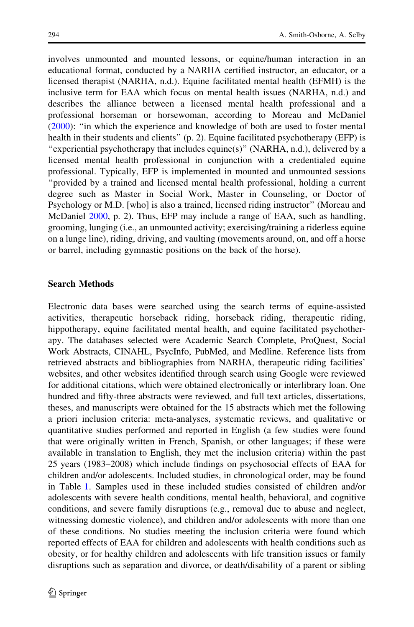involves unmounted and mounted lessons, or equine/human interaction in an educational format, conducted by a NARHA certified instructor, an educator, or a licensed therapist (NARHA, n.d.). Equine facilitated mental health (EFMH) is the inclusive term for EAA which focus on mental health issues (NARHA, n.d.) and describes the alliance between a licensed mental health professional and a professional horseman or horsewoman, according to Moreau and McDaniel [\(2000](#page-15-0)): ''in which the experience and knowledge of both are used to foster mental health in their students and clients" (p. 2). Equine facilitated psychotherapy (EFP) is ''experiential psychotherapy that includes equine(s)'' (NARHA, n.d.), delivered by a licensed mental health professional in conjunction with a credentialed equine professional. Typically, EFP is implemented in mounted and unmounted sessions ''provided by a trained and licensed mental health professional, holding a current degree such as Master in Social Work, Master in Counseling, or Doctor of Psychology or M.D. [who] is also a trained, licensed riding instructor'' (Moreau and McDaniel [2000](#page-15-0), p. 2). Thus, EFP may include a range of EAA, such as handling, grooming, lunging (i.e., an unmounted activity; exercising/training a riderless equine on a lunge line), riding, driving, and vaulting (movements around, on, and off a horse or barrel, including gymnastic positions on the back of the horse).

## Search Methods

Electronic data bases were searched using the search terms of equine-assisted activities, therapeutic horseback riding, horseback riding, therapeutic riding, hippotherapy, equine facilitated mental health, and equine facilitated psychotherapy. The databases selected were Academic Search Complete, ProQuest, Social Work Abstracts, CINAHL, PsycInfo, PubMed, and Medline. Reference lists from retrieved abstracts and bibliographies from NARHA, therapeutic riding facilities' websites, and other websites identified through search using Google were reviewed for additional citations, which were obtained electronically or interlibrary loan. One hundred and fifty-three abstracts were reviewed, and full text articles, dissertations, theses, and manuscripts were obtained for the 15 abstracts which met the following a priori inclusion criteria: meta-analyses, systematic reviews, and qualitative or quantitative studies performed and reported in English (a few studies were found that were originally written in French, Spanish, or other languages; if these were available in translation to English, they met the inclusion criteria) within the past 25 years (1983–2008) which include findings on psychosocial effects of EAA for children and/or adolescents. Included studies, in chronological order, may be found in Table [1](#page-4-0). Samples used in these included studies consisted of children and/or adolescents with severe health conditions, mental health, behavioral, and cognitive conditions, and severe family disruptions (e.g., removal due to abuse and neglect, witnessing domestic violence), and children and/or adolescents with more than one of these conditions. No studies meeting the inclusion criteria were found which reported effects of EAA for children and adolescents with health conditions such as obesity, or for healthy children and adolescents with life transition issues or family disruptions such as separation and divorce, or death/disability of a parent or sibling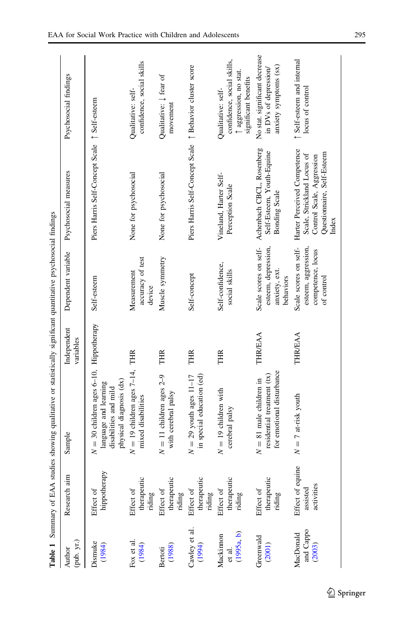<span id="page-4-0"></span>

|                                  |                                            | Table 1 Summary of EAA studies showing qualitative or statistically significant quantitative psychosocial findings     |                          |                                                                                 |                                                                                                                              |                                                                                                    |
|----------------------------------|--------------------------------------------|------------------------------------------------------------------------------------------------------------------------|--------------------------|---------------------------------------------------------------------------------|------------------------------------------------------------------------------------------------------------------------------|----------------------------------------------------------------------------------------------------|
| (pub. yr.)<br>Author             | Research aim                               | Sample                                                                                                                 | Independent<br>variables | Dependent variable                                                              | Psychosocial measures                                                                                                        | Psychosocial findings                                                                              |
| Dismuke<br>(1984)                | hippotherapy<br>Effect of                  | $N = 30$ children ages 6-10, Hippotherapy<br>physical diagnosis (dx)<br>language and learning<br>disabilities and mild |                          | Self-esteem                                                                     | Piers Harris Self-Concept Scale 1 Self-esteem                                                                                |                                                                                                    |
| Fox et al.<br>(1984)             | therapeutic<br>Effect of<br>riding         | $N = 19$ children ages 7-14, THR<br>mixed disabilities                                                                 |                          | accuracy of test<br>Measurement<br>device                                       | None for psychosocial                                                                                                        | confidence, social skills<br>Qualitative: self-                                                    |
| (1988)<br>Bertoti                | Effect of<br>therapeutic<br>riding         | $N = 11$ children ages $2-9$<br>with cerebral palsy                                                                    | THR                      | Muscle symmetry                                                                 | None for psychosocial                                                                                                        | Qualitative: $\downarrow$ fear of<br>movement                                                      |
| Cawley et al.<br>(1994)          | therapeutic<br>Effect of<br>riding         | in special education (ed)<br>$N = 29$ youth ages $11-17$                                                               | THR                      | Self-concept                                                                    | Piers Harris Self-Concept Scale 1 Behavior cluster score                                                                     |                                                                                                    |
| et al.<br>(1995a, b)<br>Mackimon | therapeutic<br>Effect of<br>riding         | $N = 19$ children with<br>cerebral palsy                                                                               | THR                      | Self-confidence,<br>social skills                                               | Vineland, Harter Self-<br>Perception Scale                                                                                   | confidence, social skills,<br>↑ aggression, no stat.<br>significant benefits<br>Qualitative: self- |
| Greenwald<br>(2001)              | therapeutic<br>Effect of<br>riding         | for emotional disturbance<br>residential treatment (tx)<br>$N = 81$ male children in                                   | THR/EAA                  | esteem, depression,<br>Scale scores on self-<br>anxiety, ext.<br>behaviors      | Achenbach CBCL, Rosenberg<br>Self-Esteem, Youth-Equine<br>Bonding Scale                                                      | No stat. significant decrease<br>anxiety symptoms (sx)<br>in DVs of depression/                    |
| and Cappo<br>MacDonald<br>(2003) | Effect of equine<br>activities<br>assisted | $N = 7$ at-risk youth                                                                                                  | THR/EAA                  | esteem, aggression,<br>Scale scores on self-<br>competence, locus<br>of control | Harter Perceived Competence<br>Questiomaire, Self-Esteem<br>Scale, Strickland Locus of<br>Control Scale, Aggression<br>Index | <b>1</b> Self-esteem and internal<br>locus of control                                              |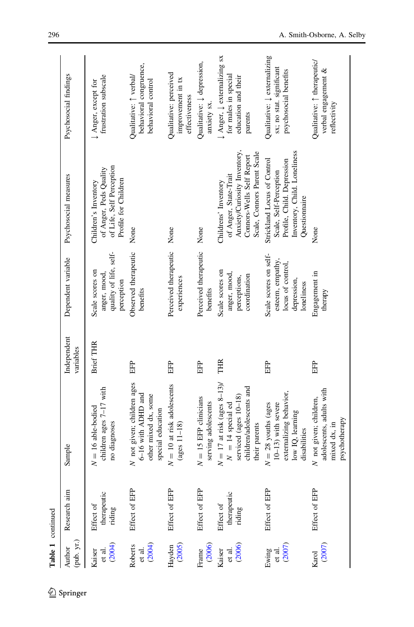| Table 1 continued           |                                    |                                                                                                                            |                          |                                                                                             |                                                                                                                                          |                                                                                                |
|-----------------------------|------------------------------------|----------------------------------------------------------------------------------------------------------------------------|--------------------------|---------------------------------------------------------------------------------------------|------------------------------------------------------------------------------------------------------------------------------------------|------------------------------------------------------------------------------------------------|
| (pub. yr.)<br>Author        | Research aim                       | Sample                                                                                                                     | Independent<br>variables | Dependent variable                                                                          | Psychosocial measures                                                                                                                    | Psychosocial findings                                                                          |
| et al.<br>(2004)<br>Kaiser  | therapeutic<br>riding<br>Effect of | children ages 7-17 with<br>$N = 16$ able-bodied<br>no diagnoses                                                            | Brief THR                | quality of life, self-<br>Scale scores on<br>anger, mood,<br>perception                     | of Life, Self Perception<br>of Anger, Peds Quality<br>Profile for Children<br>Children's Inventory                                       | frustration subscale<br>Anger, except for                                                      |
| et al.<br>(2004)<br>Roberts | Effect of EFP                      | N not given; children ages<br>6-16 with ADHD and<br>other mixed dx, some<br>special education                              | EFP                      | Observed therapeutic<br>benefits                                                            | None                                                                                                                                     | behavioral congruence,<br>Qualitative: [verbal/<br>behavioral control                          |
| Hayden<br>(2005)            | Effect of EFP                      | $N = 10$ at risk adolescents<br>$(ages 11-18)$                                                                             | EFP                      | Perceived therapeutic<br>experiences                                                        | None                                                                                                                                     | Qualitative: perceived<br>improvement in tx<br>effectiveness                                   |
| (2006)<br>Frame             | Effect of EFP                      | $N = 15$ EFP clinicians<br>serving adolescents                                                                             | EFP                      | Perceived therapeutic None<br>benefits                                                      |                                                                                                                                          | Qualitative: $\downarrow$ depression,<br>anxiety sx.                                           |
| et al.<br>(2006)<br>Kaiser  | therapeutic<br>riding<br>Effect of | $N = 17$ at risk (ages 8-13)/<br>children/adolescents and<br>serviced (ages 10-18)<br>$N = 14$ special ed<br>their parents | <b>THR</b>               | Scale scores on<br>anger, mood,<br>coordination<br>perceptions,                             | Anxiety/Curiosity Inventory,<br>Scale, Connors Parent Scale<br>Comors-Wells Self Report<br>of Anger, State-Trait<br>Childrens' Inventory | Anger, $\downarrow$ externalizing sx<br>for males in special<br>education and their<br>parents |
| et al.<br>(2007)<br>Ewing   | Effect of EFP                      | externalizing behavior,<br>$N = 28$ youths (ages<br>10-13) with severe<br>low IQ, learning<br>disabilities                 | EFP                      | Scale scores on self-<br>esteem, empathy,<br>locus of control,<br>depression,<br>loneliness | Inventory, Child. Loneliness<br>Strickland Locus of Control<br>Profile, Child. Depression<br>Scale, Self-Perception<br>Questionnaire     | Qualitative: $\downarrow$ externalizing<br>sx; no stat. significant<br>psychosocial benefits   |
| (2007)<br>Karol             | Effect of EFP                      | adolescents, adults with<br>N not given; children,<br>psychotherapy<br>mixed dx, in                                        | EFP                      | Engagement in<br>therapy                                                                    | None                                                                                                                                     | Qualitative: 1 therapeutic/<br>verbal engagement &<br>reflectivity                             |

 $2$  Springer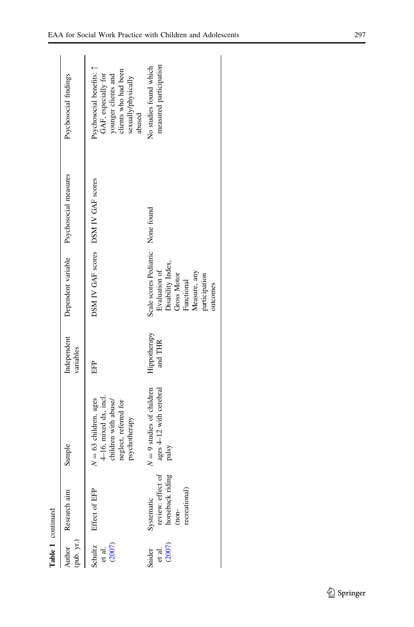| Table 1 continued           |                                                                              |                                                                                                                    |                          |                                                                                                                                                   |                                          |                                                                                                                                 |
|-----------------------------|------------------------------------------------------------------------------|--------------------------------------------------------------------------------------------------------------------|--------------------------|---------------------------------------------------------------------------------------------------------------------------------------------------|------------------------------------------|---------------------------------------------------------------------------------------------------------------------------------|
| (pub. yr.)                  | Author Research aim                                                          | Sample                                                                                                             | Independent<br>variables |                                                                                                                                                   | Dependent variable Psychosocial measures | Psychosocial findings                                                                                                           |
| Schultz<br>et al.<br>(2007) | Effect of EFP                                                                | 4–16, mixed dx, incl.<br>$N = 63$ children, ages<br>children with abuse/<br>neglect, referred for<br>psychotherapy | EFP                      | DSM IV GAF scores DSM IV GAF scores                                                                                                               |                                          | Psychosocial benefits: 1<br>younger clients and<br>clients who had been<br>GAF, especially for<br>sexually/physically<br>abused |
| (2007)<br>Snider<br>et al.  | review: effect of<br>horseback riding<br>recreational<br>Systematic<br>(non- | $N = 9$ studies of children<br>ages 4-12 with cerebral<br>palsy                                                    | Hippotherapy<br>and THR  | Scale scores Pediatric None found<br>Disability Index,<br>Evaluation of<br>Measure, any<br>Gross Motor<br>participation<br>Functional<br>outcomes |                                          | measured participation<br>No studies found which                                                                                |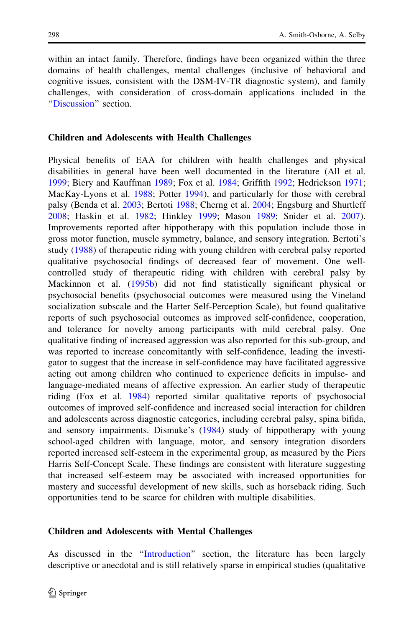within an intact family. Therefore, findings have been organized within the three domains of health challenges, mental challenges (inclusive of behavioral and cognitive issues, consistent with the DSM-IV-TR diagnostic system), and family challenges, with consideration of cross-domain applications included in the "[Discussion](#page-11-0)" section.

## Children and Adolescents with Health Challenges

Physical benefits of EAA for children with health challenges and physical disabilities in general have been well documented in the literature (All et al. [1999;](#page-13-0) Biery and Kauffman [1989;](#page-14-0) Fox et al. [1984](#page-14-0); Griffith [1992](#page-14-0); Hedrickson [1971;](#page-14-0) MacKay-Lyons et al. [1988](#page-15-0); Potter [1994](#page-15-0)), and particularly for those with cerebral palsy (Benda et al. [2003](#page-13-0); Bertoti [1988;](#page-14-0) Cherng et al. [2004](#page-14-0); Engsburg and Shurtleff [2008;](#page-14-0) Haskin et al. [1982](#page-14-0); Hinkley [1999](#page-14-0); Mason [1989](#page-15-0); Snider et al. [2007\)](#page-15-0). Improvements reported after hippotherapy with this population include those in gross motor function, muscle symmetry, balance, and sensory integration. Bertoti's study ([1988\)](#page-14-0) of therapeutic riding with young children with cerebral palsy reported qualitative psychosocial findings of decreased fear of movement. One wellcontrolled study of therapeutic riding with children with cerebral palsy by Mackinnon et al. ([1995b\)](#page-15-0) did not find statistically significant physical or psychosocial benefits (psychosocial outcomes were measured using the Vineland socialization subscale and the Harter Self-Perception Scale), but found qualitative reports of such psychosocial outcomes as improved self-confidence, cooperation, and tolerance for novelty among participants with mild cerebral palsy. One qualitative finding of increased aggression was also reported for this sub-group, and was reported to increase concomitantly with self-confidence, leading the investigator to suggest that the increase in self-confidence may have facilitated aggressive acting out among children who continued to experience deficits in impulse- and language-mediated means of affective expression. An earlier study of therapeutic riding (Fox et al. [1984\)](#page-14-0) reported similar qualitative reports of psychosocial outcomes of improved self-confidence and increased social interaction for children and adolescents across diagnostic categories, including cerebral palsy, spina bifida, and sensory impairments. Dismuke's ([1984\)](#page-14-0) study of hippotherapy with young school-aged children with language, motor, and sensory integration disorders reported increased self-esteem in the experimental group, as measured by the Piers Harris Self-Concept Scale. These findings are consistent with literature suggesting that increased self-esteem may be associated with increased opportunities for mastery and successful development of new skills, such as horseback riding. Such opportunities tend to be scarce for children with multiple disabilities.

## Children and Adolescents with Mental Challenges

As discussed in the '['Introduction'](#page-0-0)' section, the literature has been largely descriptive or anecdotal and is still relatively sparse in empirical studies (qualitative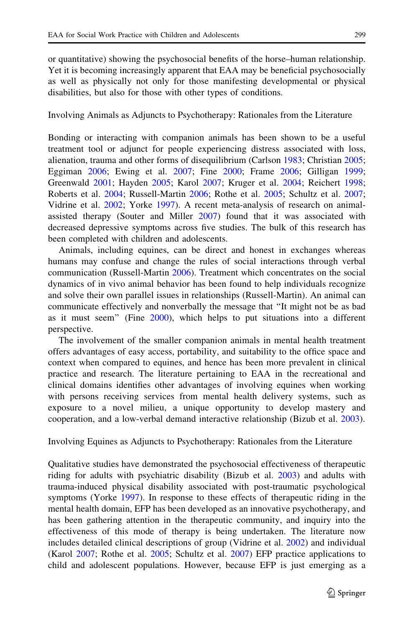or quantitative) showing the psychosocial benefits of the horse–human relationship. Yet it is becoming increasingly apparent that EAA may be beneficial psychosocially as well as physically not only for those manifesting developmental or physical disabilities, but also for those with other types of conditions.

## Involving Animals as Adjuncts to Psychotherapy: Rationales from the Literature

Bonding or interacting with companion animals has been shown to be a useful treatment tool or adjunct for people experiencing distress associated with loss, alienation, trauma and other forms of disequilibrium (Carlson [1983;](#page-14-0) Christian [2005;](#page-14-0) Eggiman [2006](#page-14-0); Ewing et al. [2007;](#page-14-0) Fine [2000;](#page-14-0) Frame [2006;](#page-14-0) Gilligan [1999;](#page-14-0) Greenwald [2001](#page-14-0); Hayden [2005](#page-14-0); Karol [2007](#page-14-0); Kruger et al. [2004](#page-15-0); Reichert [1998;](#page-15-0) Roberts et al. [2004;](#page-15-0) Russell-Martin [2006](#page-15-0); Rothe et al. [2005](#page-15-0); Schultz et al. [2007;](#page-15-0) Vidrine et al. [2002](#page-15-0); Yorke [1997\)](#page-16-0). A recent meta-analysis of research on animalassisted therapy (Souter and Miller [2007\)](#page-15-0) found that it was associated with decreased depressive symptoms across five studies. The bulk of this research has been completed with children and adolescents.

Animals, including equines, can be direct and honest in exchanges whereas humans may confuse and change the rules of social interactions through verbal communication (Russell-Martin [2006\)](#page-15-0). Treatment which concentrates on the social dynamics of in vivo animal behavior has been found to help individuals recognize and solve their own parallel issues in relationships (Russell-Martin). An animal can communicate effectively and nonverbally the message that ''It might not be as bad as it must seem'' (Fine [2000](#page-14-0)), which helps to put situations into a different perspective.

The involvement of the smaller companion animals in mental health treatment offers advantages of easy access, portability, and suitability to the office space and context when compared to equines, and hence has been more prevalent in clinical practice and research. The literature pertaining to EAA in the recreational and clinical domains identifies other advantages of involving equines when working with persons receiving services from mental health delivery systems, such as exposure to a novel milieu, a unique opportunity to develop mastery and cooperation, and a low-verbal demand interactive relationship (Bizub et al. [2003](#page-14-0)).

## Involving Equines as Adjuncts to Psychotherapy: Rationales from the Literature

Qualitative studies have demonstrated the psychosocial effectiveness of therapeutic riding for adults with psychiatric disability (Bizub et al. [2003](#page-14-0)) and adults with trauma-induced physical disability associated with post-traumatic psychological symptoms (Yorke [1997](#page-16-0)). In response to these effects of therapeutic riding in the mental health domain, EFP has been developed as an innovative psychotherapy, and has been gathering attention in the therapeutic community, and inquiry into the effectiveness of this mode of therapy is being undertaken. The literature now includes detailed clinical descriptions of group (Vidrine et al. [2002\)](#page-15-0) and individual (Karol [2007;](#page-14-0) Rothe et al. [2005;](#page-15-0) Schultz et al. [2007\)](#page-15-0) EFP practice applications to child and adolescent populations. However, because EFP is just emerging as a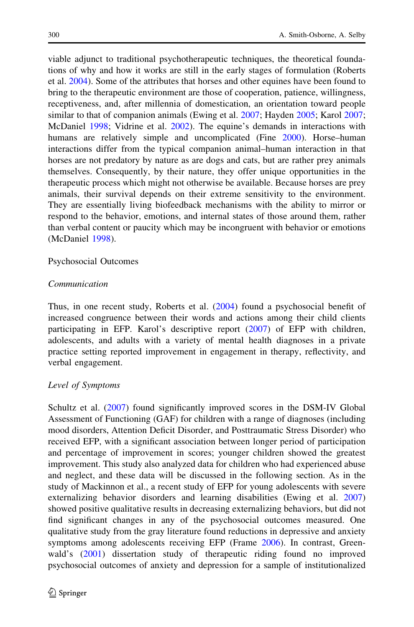viable adjunct to traditional psychotherapeutic techniques, the theoretical foundations of why and how it works are still in the early stages of formulation (Roberts et al. [2004](#page-15-0)). Some of the attributes that horses and other equines have been found to bring to the therapeutic environment are those of cooperation, patience, willingness, receptiveness, and, after millennia of domestication, an orientation toward people similar to that of companion animals (Ewing et al. [2007;](#page-14-0) Hayden [2005;](#page-14-0) Karol [2007;](#page-14-0) McDaniel [1998;](#page-15-0) Vidrine et al. [2002](#page-15-0)). The equine's demands in interactions with humans are relatively simple and uncomplicated (Fine [2000\)](#page-14-0). Horse–human interactions differ from the typical companion animal–human interaction in that horses are not predatory by nature as are dogs and cats, but are rather prey animals themselves. Consequently, by their nature, they offer unique opportunities in the therapeutic process which might not otherwise be available. Because horses are prey animals, their survival depends on their extreme sensitivity to the environment. They are essentially living biofeedback mechanisms with the ability to mirror or respond to the behavior, emotions, and internal states of those around them, rather than verbal content or paucity which may be incongruent with behavior or emotions (McDaniel [1998\)](#page-15-0).

## Psychosocial Outcomes

## Communication

Thus, in one recent study, Roberts et al. [\(2004](#page-15-0)) found a psychosocial benefit of increased congruence between their words and actions among their child clients participating in EFP. Karol's descriptive report ([2007\)](#page-14-0) of EFP with children, adolescents, and adults with a variety of mental health diagnoses in a private practice setting reported improvement in engagement in therapy, reflectivity, and verbal engagement.

# Level of Symptoms

Schultz et al. ([2007\)](#page-15-0) found significantly improved scores in the DSM-IV Global Assessment of Functioning (GAF) for children with a range of diagnoses (including mood disorders, Attention Deficit Disorder, and Posttraumatic Stress Disorder) who received EFP, with a significant association between longer period of participation and percentage of improvement in scores; younger children showed the greatest improvement. This study also analyzed data for children who had experienced abuse and neglect, and these data will be discussed in the following section. As in the study of Mackinnon et al., a recent study of EFP for young adolescents with severe externalizing behavior disorders and learning disabilities (Ewing et al. [2007](#page-14-0)) showed positive qualitative results in decreasing externalizing behaviors, but did not find significant changes in any of the psychosocial outcomes measured. One qualitative study from the gray literature found reductions in depressive and anxiety symptoms among adolescents receiving EFP (Frame [2006\)](#page-14-0). In contrast, Greenwald's [\(2001](#page-14-0)) dissertation study of therapeutic riding found no improved psychosocial outcomes of anxiety and depression for a sample of institutionalized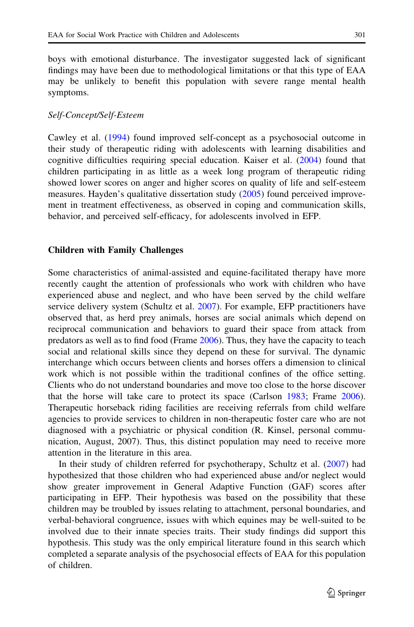boys with emotional disturbance. The investigator suggested lack of significant findings may have been due to methodological limitations or that this type of EAA may be unlikely to benefit this population with severe range mental health symptoms.

## Self-Concept/Self-Esteem

Cawley et al. [\(1994](#page-14-0)) found improved self-concept as a psychosocial outcome in their study of therapeutic riding with adolescents with learning disabilities and cognitive difficulties requiring special education. Kaiser et al. [\(2004](#page-14-0)) found that children participating in as little as a week long program of therapeutic riding showed lower scores on anger and higher scores on quality of life and self-esteem measures. Hayden's qualitative dissertation study [\(2005](#page-14-0)) found perceived improvement in treatment effectiveness, as observed in coping and communication skills, behavior, and perceived self-efficacy, for adolescents involved in EFP.

## Children with Family Challenges

Some characteristics of animal-assisted and equine-facilitated therapy have more recently caught the attention of professionals who work with children who have experienced abuse and neglect, and who have been served by the child welfare service delivery system (Schultz et al. [2007\)](#page-15-0). For example, EFP practitioners have observed that, as herd prey animals, horses are social animals which depend on reciprocal communication and behaviors to guard their space from attack from predators as well as to find food (Frame [2006](#page-14-0)). Thus, they have the capacity to teach social and relational skills since they depend on these for survival. The dynamic interchange which occurs between clients and horses offers a dimension to clinical work which is not possible within the traditional confines of the office setting. Clients who do not understand boundaries and move too close to the horse discover that the horse will take care to protect its space (Carlson [1983](#page-14-0); Frame [2006\)](#page-14-0). Therapeutic horseback riding facilities are receiving referrals from child welfare agencies to provide services to children in non-therapeutic foster care who are not diagnosed with a psychiatric or physical condition (R. Kinsel, personal communication, August, 2007). Thus, this distinct population may need to receive more attention in the literature in this area.

In their study of children referred for psychotherapy, Schultz et al. ([2007\)](#page-15-0) had hypothesized that those children who had experienced abuse and/or neglect would show greater improvement in General Adaptive Function (GAF) scores after participating in EFP. Their hypothesis was based on the possibility that these children may be troubled by issues relating to attachment, personal boundaries, and verbal-behavioral congruence, issues with which equines may be well-suited to be involved due to their innate species traits. Their study findings did support this hypothesis. This study was the only empirical literature found in this search which completed a separate analysis of the psychosocial effects of EAA for this population of children.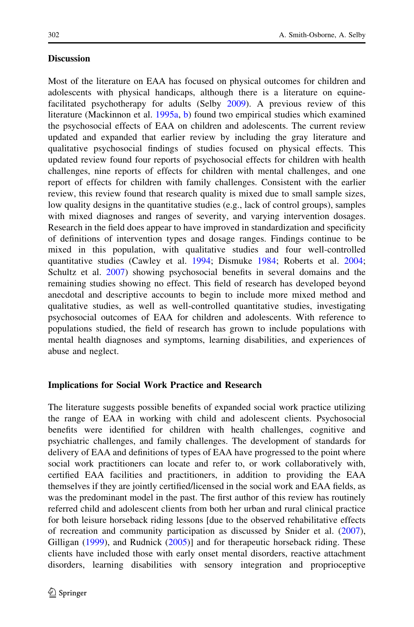# <span id="page-11-0"></span>**Discussion**

Most of the literature on EAA has focused on physical outcomes for children and adolescents with physical handicaps, although there is a literature on equinefacilitated psychotherapy for adults (Selby [2009](#page-15-0)). A previous review of this literature (Mackinnon et al. [1995a](#page-15-0), [b\)](#page-15-0) found two empirical studies which examined the psychosocial effects of EAA on children and adolescents. The current review updated and expanded that earlier review by including the gray literature and qualitative psychosocial findings of studies focused on physical effects. This updated review found four reports of psychosocial effects for children with health challenges, nine reports of effects for children with mental challenges, and one report of effects for children with family challenges. Consistent with the earlier review, this review found that research quality is mixed due to small sample sizes, low quality designs in the quantitative studies (e.g., lack of control groups), samples with mixed diagnoses and ranges of severity, and varying intervention dosages. Research in the field does appear to have improved in standardization and specificity of definitions of intervention types and dosage ranges. Findings continue to be mixed in this population, with qualitative studies and four well-controlled quantitative studies (Cawley et al. [1994;](#page-14-0) Dismuke [1984](#page-14-0); Roberts et al. [2004;](#page-15-0) Schultz et al. [2007\)](#page-15-0) showing psychosocial benefits in several domains and the remaining studies showing no effect. This field of research has developed beyond anecdotal and descriptive accounts to begin to include more mixed method and qualitative studies, as well as well-controlled quantitative studies, investigating psychosocial outcomes of EAA for children and adolescents. With reference to populations studied, the field of research has grown to include populations with mental health diagnoses and symptoms, learning disabilities, and experiences of abuse and neglect.

# Implications for Social Work Practice and Research

The literature suggests possible benefits of expanded social work practice utilizing the range of EAA in working with child and adolescent clients. Psychosocial benefits were identified for children with health challenges, cognitive and psychiatric challenges, and family challenges. The development of standards for delivery of EAA and definitions of types of EAA have progressed to the point where social work practitioners can locate and refer to, or work collaboratively with, certified EAA facilities and practitioners, in addition to providing the EAA themselves if they are jointly certified/licensed in the social work and EAA fields, as was the predominant model in the past. The first author of this review has routinely referred child and adolescent clients from both her urban and rural clinical practice for both leisure horseback riding lessons [due to the observed rehabilitative effects of recreation and community participation as discussed by Snider et al. ([2007\)](#page-15-0), Gilligan ([1999\)](#page-14-0), and Rudnick  $(2005)$  $(2005)$ ] and for therapeutic horseback riding. These clients have included those with early onset mental disorders, reactive attachment disorders, learning disabilities with sensory integration and proprioceptive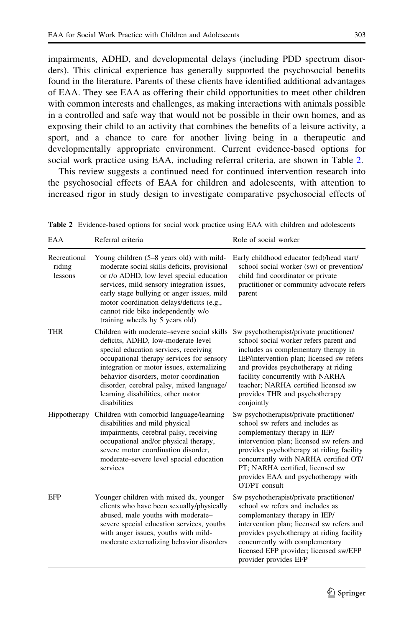impairments, ADHD, and developmental delays (including PDD spectrum disorders). This clinical experience has generally supported the psychosocial benefits found in the literature. Parents of these clients have identified additional advantages of EAA. They see EAA as offering their child opportunities to meet other children with common interests and challenges, as making interactions with animals possible in a controlled and safe way that would not be possible in their own homes, and as exposing their child to an activity that combines the benefits of a leisure activity, a sport, and a chance to care for another living being in a therapeutic and developmentally appropriate environment. Current evidence-based options for social work practice using EAA, including referral criteria, are shown in Table 2.

This review suggests a continued need for continued intervention research into the psychosocial effects of EAA for children and adolescents, with attention to increased rigor in study design to investigate comparative psychosocial effects of

| EAA                               | Referral criteria                                                                                                                                                                                                                                                                                                                                                  | Role of social worker                                                                                                                                                                                                                                                                                                                        |
|-----------------------------------|--------------------------------------------------------------------------------------------------------------------------------------------------------------------------------------------------------------------------------------------------------------------------------------------------------------------------------------------------------------------|----------------------------------------------------------------------------------------------------------------------------------------------------------------------------------------------------------------------------------------------------------------------------------------------------------------------------------------------|
| Recreational<br>riding<br>lessons | Young children (5–8 years old) with mild-<br>moderate social skills deficits, provisional<br>or r/o ADHD, low level special education<br>services, mild sensory integration issues,<br>early stage bullying or anger issues, mild<br>motor coordination delays/deficits (e.g.,<br>cannot ride bike independently w/o<br>training wheels by 5 years old)            | Early childhood educator (ed)/head start/<br>school social worker (sw) or prevention/<br>child find coordinator or private<br>practitioner or community advocate refers<br>parent                                                                                                                                                            |
| THR                               | Children with moderate–severe social skills<br>deficits, ADHD, low-moderate level<br>special education services, receiving<br>occupational therapy services for sensory<br>integration or motor issues, externalizing<br>behavior disorders, motor coordination<br>disorder, cerebral palsy, mixed language/<br>learning disabilities, other motor<br>disabilities | Sw psychotherapist/private practitioner/<br>school social worker refers parent and<br>includes as complementary therapy in<br>IEP/intervention plan; licensed sw refers<br>and provides psychotherapy at riding<br>facility concurrently with NARHA<br>teacher; NARHA certified licensed sw<br>provides THR and psychotherapy<br>conjointly  |
|                                   | Hippotherapy Children with comorbid language/learning<br>disabilities and mild physical<br>impairments, cerebral palsy, receiving<br>occupational and/or physical therapy,<br>severe motor coordination disorder.<br>moderate-severe level special education<br>services                                                                                           | Sw psychotherapist/private practitioner/<br>school sw refers and includes as<br>complementary therapy in IEP/<br>intervention plan; licensed sw refers and<br>provides psychotherapy at riding facility<br>concurrently with NARHA certified OT/<br>PT; NARHA certified, licensed sw<br>provides EAA and psychotherapy with<br>OT/PT consult |
| EFP                               | Younger children with mixed dx, younger<br>clients who have been sexually/physically<br>abused, male youths with moderate-<br>severe special education services, youths<br>with anger issues, youths with mild-<br>moderate externalizing behavior disorders                                                                                                       | Sw psychotherapist/private practitioner/<br>school sw refers and includes as<br>complementary therapy in IEP/<br>intervention plan; licensed sw refers and<br>provides psychotherapy at riding facility<br>concurrently with complementary<br>licensed EFP provider; licensed sw/EFP<br>provider provides EFP                                |

Table 2 Evidence-based options for social work practice using EAA with children and adolescents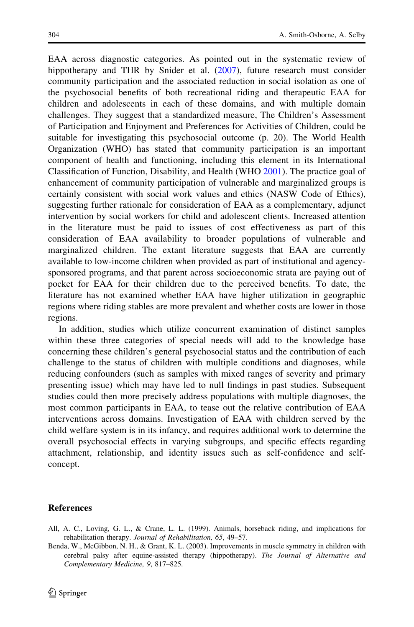<span id="page-13-0"></span>EAA across diagnostic categories. As pointed out in the systematic review of hippotherapy and THR by Snider et al. [\(2007](#page-15-0)), future research must consider community participation and the associated reduction in social isolation as one of the psychosocial benefits of both recreational riding and therapeutic EAA for children and adolescents in each of these domains, and with multiple domain challenges. They suggest that a standardized measure, The Children's Assessment of Participation and Enjoyment and Preferences for Activities of Children, could be suitable for investigating this psychosocial outcome (p. 20). The World Health Organization (WHO) has stated that community participation is an important component of health and functioning, including this element in its International Classification of Function, Disability, and Health (WHO [2001\)](#page-16-0). The practice goal of enhancement of community participation of vulnerable and marginalized groups is certainly consistent with social work values and ethics (NASW Code of Ethics), suggesting further rationale for consideration of EAA as a complementary, adjunct intervention by social workers for child and adolescent clients. Increased attention in the literature must be paid to issues of cost effectiveness as part of this consideration of EAA availability to broader populations of vulnerable and marginalized children. The extant literature suggests that EAA are currently available to low-income children when provided as part of institutional and agencysponsored programs, and that parent across socioeconomic strata are paying out of pocket for EAA for their children due to the perceived benefits. To date, the literature has not examined whether EAA have higher utilization in geographic regions where riding stables are more prevalent and whether costs are lower in those regions.

In addition, studies which utilize concurrent examination of distinct samples within these three categories of special needs will add to the knowledge base concerning these children's general psychosocial status and the contribution of each challenge to the status of children with multiple conditions and diagnoses, while reducing confounders (such as samples with mixed ranges of severity and primary presenting issue) which may have led to null findings in past studies. Subsequent studies could then more precisely address populations with multiple diagnoses, the most common participants in EAA, to tease out the relative contribution of EAA interventions across domains. Investigation of EAA with children served by the child welfare system is in its infancy, and requires additional work to determine the overall psychosocial effects in varying subgroups, and specific effects regarding attachment, relationship, and identity issues such as self-confidence and selfconcept.

#### **References**

- All, A. C., Loving, G. L., & Crane, L. L. (1999). Animals, horseback riding, and implications for rehabilitation therapy. Journal of Rehabilitation, 65, 49–57.
- Benda, W., McGibbon, N. H., & Grant, K. L. (2003). Improvements in muscle symmetry in children with cerebral palsy after equine-assisted therapy (hippotherapy). The Journal of Alternative and Complementary Medicine, 9, 817–825.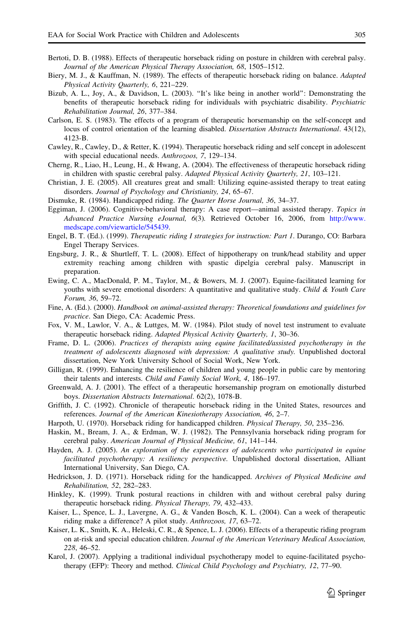- <span id="page-14-0"></span>Bertoti, D. B. (1988). Effects of therapeutic horseback riding on posture in children with cerebral palsy. Journal of the American Physical Therapy Association, 68, 1505–1512.
- Biery, M. J., & Kauffman, N. (1989). The effects of therapeutic horseback riding on balance. Adapted Physical Activity Quarterly, 6, 221–229.
- Bizub, A. L., Joy, A., & Davidson, L. (2003). ''It's like being in another world'': Demonstrating the benefits of therapeutic horseback riding for individuals with psychiatric disability. Psychiatric Rehabilitation Journal, 26, 377–384.
- Carlson, E. S. (1983). The effects of a program of therapeutic horsemanship on the self-concept and locus of control orientation of the learning disabled. *Dissertation Abstracts International*. 43(12), 4123-B.
- Cawley, R., Cawley, D., & Retter, K. (1994). Therapeutic horseback riding and self concept in adolescent with special educational needs. Anthrozoos, 7, 129–134.
- Cherng, R., Liao, H., Leung, H., & Hwang, A. (2004). The effectiveness of therapeutic horseback riding in children with spastic cerebral palsy. Adapted Physical Activity Quarterly, 21, 103–121.
- Christian, J. E. (2005). All creatures great and small: Utilizing equine-assisted therapy to treat eating disorders. Journal of Psychology and Christianity, 24, 65–67.
- Dismuke, R. (1984). Handicapped riding. The Quarter Horse Journal, 36, 34–37.
- Eggiman, J. (2006). Cognitive-behavioral therapy: A case report—animal assisted therapy. Topics in Advanced Practice Nursing eJournal, 6(3). Retrieved October 16, 2006, from [http://www.](http://www.medscape.com/viewarticle/545439) [medscape.com/viewarticle/545439](http://www.medscape.com/viewarticle/545439).
- Engel, B. T. (Ed.). (1999). Therapeutic riding I strategies for instruction: Part 1. Durango, CO: Barbara Engel Therapy Services.
- Engsburg, J. R., & Shurtleff, T. L. (2008). Effect of hippotherapy on trunk/head stability and upper extremity reaching among children with spastic dipelgia cerebral palsy. Manuscript in preparation.
- Ewing, C. A., MacDonald, P. M., Taylor, M., & Bowers, M. J. (2007). Equine-facilitated learning for youths with severe emotional disorders: A quantitative and qualitative study. Child & Youth Care Forum, 36, 59–72.
- Fine, A. (Ed.). (2000). Handbook on animal-assisted therapy: Theoretical foundations and guidelines for practice. San Diego, CA: Academic Press.
- Fox, V. M., Lawlor, V. A., & Luttges, M. W. (1984). Pilot study of novel test instrument to evaluate therapeutic horseback riding. Adapted Physical Activity Quarterly, 1, 30–36.
- Frame, D. L. (2006). Practices of therapists using equine facilitated/assisted psychotherapy in the treatment of adolescents diagnosed with depression: A qualitative study. Unpublished doctoral dissertation, New York University School of Social Work, New York.
- Gilligan, R. (1999). Enhancing the resilience of children and young people in public care by mentoring their talents and interests. Child and Family Social Work, 4, 186–197.
- Greenwald, A. J. (2001). The effect of a therapeutic horsemanship program on emotionally disturbed boys. Dissertation Abstracts International. 62(2), 1078-B.
- Griffith, J. C. (1992). Chronicle of therapeutic horseback riding in the United States, resources and references. Journal of the American Kinesiotherapy Association, 46, 2–7.
- Harpoth, U. (1970). Horseback riding for handicapped children. Physical Therapy, 50, 235–236.
- Haskin, M., Bream, J. A., & Erdman, W. J. (1982). The Pennsylvania horseback riding program for cerebral palsy. American Journal of Physical Medicine, 61, 141–144.
- Hayden, A. J. (2005). An exploration of the experiences of adolescents who participated in equine facilitated psychotherapy: A resiliency perspective. Unpublished doctoral dissertation, Alliant International University, San Diego, CA.
- Hedrickson, J. D. (1971). Horseback riding for the handicapped. Archives of Physical Medicine and Rehabilitation, 52, 282–283.
- Hinkley, K. (1999). Trunk postural reactions in children with and without cerebral palsy during therapeutic horseback riding. Physical Therapy, 79, 432–433.
- Kaiser, L., Spence, L. J., Lavergne, A. G., & Vanden Bosch, K. L. (2004). Can a week of therapeutic riding make a difference? A pilot study. Anthrozoos, 17, 63–72.
- Kaiser, L. K., Smith, K. A., Heleski, C. R., & Spence, L. J. (2006). Effects of a therapeutic riding program on at-risk and special education children. Journal of the American Veterinary Medical Association, 228, 46–52.
- Karol, J. (2007). Applying a traditional individual psychotherapy model to equine-facilitated psychotherapy (EFP): Theory and method. Clinical Child Psychology and Psychiatry, 12, 77–90.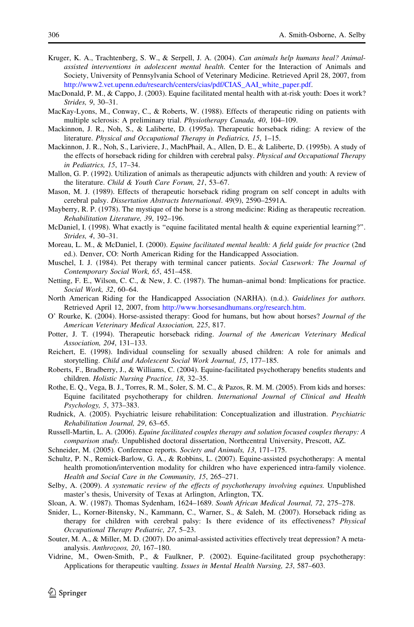- <span id="page-15-0"></span>Kruger, K. A., Trachtenberg, S. W., & Serpell, J. A. (2004). Can animals help humans heal? Animalassisted interventions in adolescent mental health. Center for the Interaction of Animals and Society, University of Pennsylvania School of Veterinary Medicine. Retrieved April 28, 2007, from [http://www2.vet.upenn.edu/research/centers/cias/pdf/CIAS\\_AAI\\_white\\_paper.pdf](http://www2.vet.upenn.edu/research/centers/cias/pdf/CIAS_AAI_white_paper.pdf).
- MacDonald, P. M., & Cappo, J. (2003). Equine facilitated mental health with at-risk youth: Does it work? Strides, 9, 30–31.
- MacKay-Lyons, M., Conway, C., & Roberts, W. (1988). Effects of therapeutic riding on patients with multiple sclerosis: A preliminary trial. Physiotherapy Canada, 40, 104–109.
- Mackinnon, J. R., Noh, S., & Laliberte, D. (1995a). Therapeutic horseback riding: A review of the literature. Physical and Occupational Therapy in Pediatrics, 15, 1–15.
- Mackinnon, J. R., Noh, S., Lariviere, J., MachPhail, A., Allen, D. E., & Laliberte, D. (1995b). A study of the effects of horseback riding for children with cerebral palsy. Physical and Occupational Therapy in Pediatrics, 15, 17–34.
- Mallon, G. P. (1992). Utilization of animals as therapeutic adjuncts with children and youth: A review of the literature. Child & Youth Care Forum, 21, 53–67.
- Mason, M. J. (1989). Effects of therapeutic horseback riding program on self concept in adults with cerebral palsy. Dissertation Abstracts International. 49(9), 2590–2591A.
- Mayberry, R. P. (1978). The mystique of the horse is a strong medicine: Riding as therapeutic recreation. Rehabilitation Literature, 39, 192–196.
- McDaniel, I. (1998). What exactly is "equine facilitated mental health & equine experiential learning?". Strides, 4, 30–31.
- Moreau, L. M., & McDaniel, I. (2000). Equine facilitated mental health: A field guide for practice (2nd ed.). Denver, CO: North American Riding for the Handicapped Association.
- Muschel, I. J. (1984). Pet therapy with terminal cancer patients. Social Casework: The Journal of Contemporary Social Work, 65, 451–458.
- Netting, F. E., Wilson, C. C., & New, J. C. (1987). The human–animal bond: Implications for practice. Social Work, 32, 60–64.
- North American Riding for the Handicapped Association (NARHA). (n.d.). Guidelines for authors. Retrieved April 12, 2007, from <http://www.horsesandhumans.org/research.htm>.
- O' Rourke, K. (2004). Horse-assisted therapy: Good for humans, but how about horses? Journal of the American Veterinary Medical Association, 225, 817.
- Potter, J. T. (1994). Therapeutic horseback riding. Journal of the American Veterinary Medical Association, 204, 131–133.
- Reichert, E. (1998). Individual counseling for sexually abused children: A role for animals and storytelling. Child and Adolescent Social Work Journal, 15, 177–185.
- Roberts, F., Bradberry, J., & Williams, C. (2004). Equine-facilitated psychotherapy benefits students and children. Holistic Nursing Practice, 18, 32–35.
- Rothe, E. Q., Vega, B. J., Torres, R. M., Soler, S. M. C., & Pazos, R. M. M. (2005). From kids and horses: Equine facilitated psychotherapy for children. International Journal of Clinical and Health Psychology, 5, 373–383.
- Rudnick, A. (2005). Psychiatric leisure rehabilitation: Conceptualization and illustration. Psychiatric Rehabilitation Journal, 29, 63–65.
- Russell-Martin, L. A. (2006). Equine facilitated couples therapy and solution focused couples therapy: A comparison study. Unpublished doctoral dissertation, Northcentral University, Prescott, AZ.
- Schneider, M. (2005). Conference reports. Society and Animals, 13, 171-175.
- Schultz, P. N., Remick-Barlow, G. A., & Robbins, L. (2007). Equine-assisted psychotherapy: A mental health promotion/intervention modality for children who have experienced intra-family violence. Health and Social Care in the Community, 15, 265–271.
- Selby, A. (2009). A systematic review of the effects of psychotherapy involving equines. Unpublished master's thesis, University of Texas at Arlington, Arlington, TX.
- Sloan, A. W. (1987). Thomas Sydenham, 1624–1689. South African Medical Journal, 72, 275–278.
- Snider, L., Korner-Bitensky, N., Kammann, C., Warner, S., & Saleh, M. (2007). Horseback riding as therapy for children with cerebral palsy: Is there evidence of its effectiveness? Physical Occupational Therapy Pediatric, 27, 5–23.
- Souter, M. A., & Miller, M. D. (2007). Do animal-assisted activities effectively treat depression? A metaanalysis. Anthrozoos, 20, 167–180.
- Vidrine, M., Owen-Smith, P., & Faulkner, P. (2002). Equine-facilitated group psychotherapy: Applications for therapeutic vaulting. Issues in Mental Health Nursing, 23, 587–603.